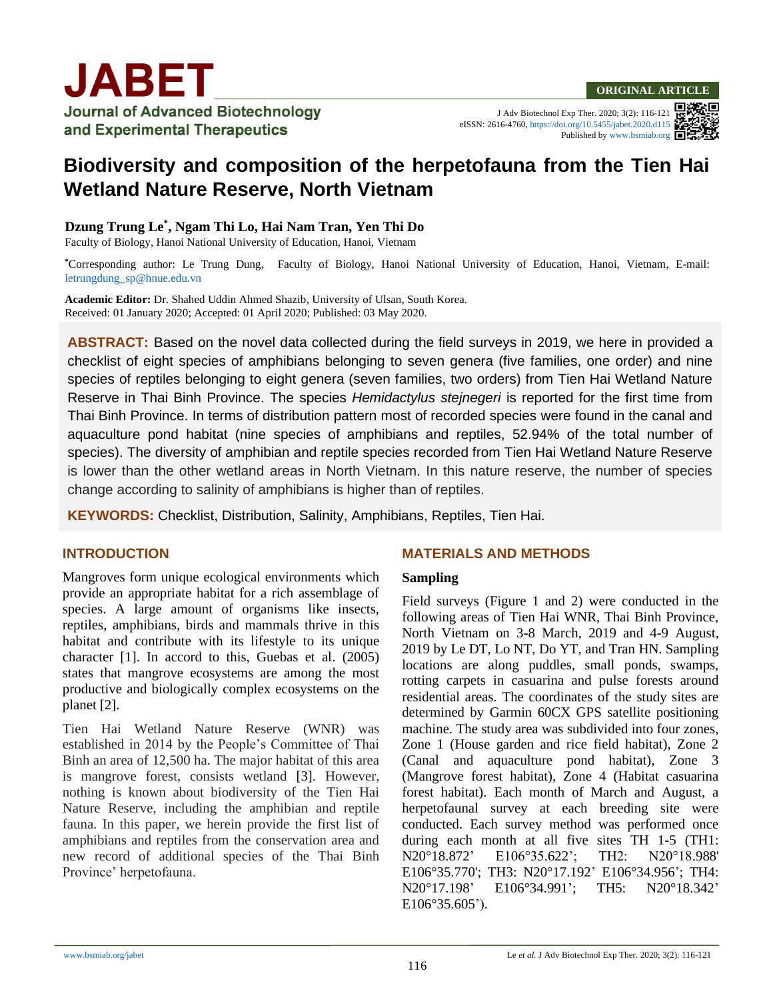# **JABET Journal of Advanced Biotechnology** and Experimental Therapeutics

J Adv Biotechnol Exp Ther. 2020; 3(2): 116-121 eISSN: 2616-4760[, https://doi.org/10.5455/jabet.2020.d115](https://doi.org/10.5455/jabet.2020.d115) Published b[y www.bsmiab.org](http://www.bsmiab.org/)



## **Biodiversity and composition of the herpetofauna from the Tien Hai Wetland Nature Reserve, North Vietnam**

## **Dzung Trung Le\* , Ngam Thi Lo, Hai Nam Tran, Yen Thi Do**

Faculty of Biology, Hanoi National University of Education, Hanoi, Vietnam

**\***Corresponding author: Le Trung Dung, Faculty of Biology, Hanoi National University of Education, Hanoi, Vietnam, E-mail: [letrungdung\\_sp@hnue.edu.vn](mailto:letrungdung_sp@hnue.edu.vn)

**Academic Editor:** Dr. Shahed Uddin Ahmed Shazib, University of Ulsan, South Korea. Received: 01 January 2020; Accepted: 01 April 2020; Published: 03 May 2020.

**ABSTRACT:** Based on the novel data collected during the field surveys in 2019, we here in provided a checklist of eight species of amphibians belonging to seven genera (five families, one order) and nine species of reptiles belonging to eight genera (seven families, two orders) from Tien Hai Wetland Nature Reserve in Thai Binh Province. The species *Hemidactylus stejnegeri* is reported for the first time from Thai Binh Province. In terms of distribution pattern most of recorded species were found in the canal and aquaculture pond habitat (nine species of amphibians and reptiles, 52.94% of the total number of species). The diversity of amphibian and reptile species recorded from Tien Hai Wetland Nature Reserve is lower than the other wetland areas in North Vietnam. In this nature reserve, the number of species change according to salinity of amphibians is higher than of reptiles.

**KEYWORDS:** Checklist, Distribution, Salinity, Amphibians, Reptiles, Tien Hai.

## **INTRODUCTION**

Mangroves form unique ecological environments which provide an appropriate habitat for a rich assemblage of species. A large amount of organisms like insects, reptiles, amphibians, birds and mammals thrive in this habitat and contribute with its lifestyle to its unique character [1]. In accord to this, Guebas et al. (2005) states that mangrove ecosystems are among the most productive and biologically complex ecosystems on the planet [2].

Tien Hai Wetland Nature Reserve (WNR) was established in 2014 by the People's Committee of Thai Binh an area of 12,500 ha. The major habitat of this area is mangrove forest, consists wetland [3]. However, nothing is known about biodiversity of the Tien Hai Nature Reserve, including the amphibian and reptile fauna. In this paper, we herein provide the first list of amphibians and reptiles from the conservation area and new record of additional species of the Thai Binh Province' herpetofauna.

## **MATERIALS AND METHODS**

## **Sampling**

Field surveys (Figure 1 and 2) were conducted in the following areas of Tien Hai WNR, Thai Binh Province, North Vietnam on 3-8 March, 2019 and 4-9 August, 2019 by Le DT, Lo NT, Do YT, and Tran HN. Sampling locations are along puddles, small ponds, swamps, rotting carpets in casuarina and pulse forests around residential areas. The coordinates of the study sites are determined by Garmin 60CX GPS satellite positioning machine. The study area was subdivided into four zones, Zone 1 (House garden and rice field habitat), Zone 2 (Canal and aquaculture pond habitat), Zone 3 (Mangrove forest habitat), Zone 4 (Habitat casuarina forest habitat). Each month of March and August, a herpetofaunal survey at each breeding site were conducted. Each survey method was performed once during each month at all five sites TH 1-5 (TH1: N20°18.872' E106°35.622'; TH2: N20°18.988' E106°35.770'; TH3: N20°17.192' E106°34.956'; TH4: N20°17.198' E106°34.991'; TH5: N20°18.342' E106°35.605').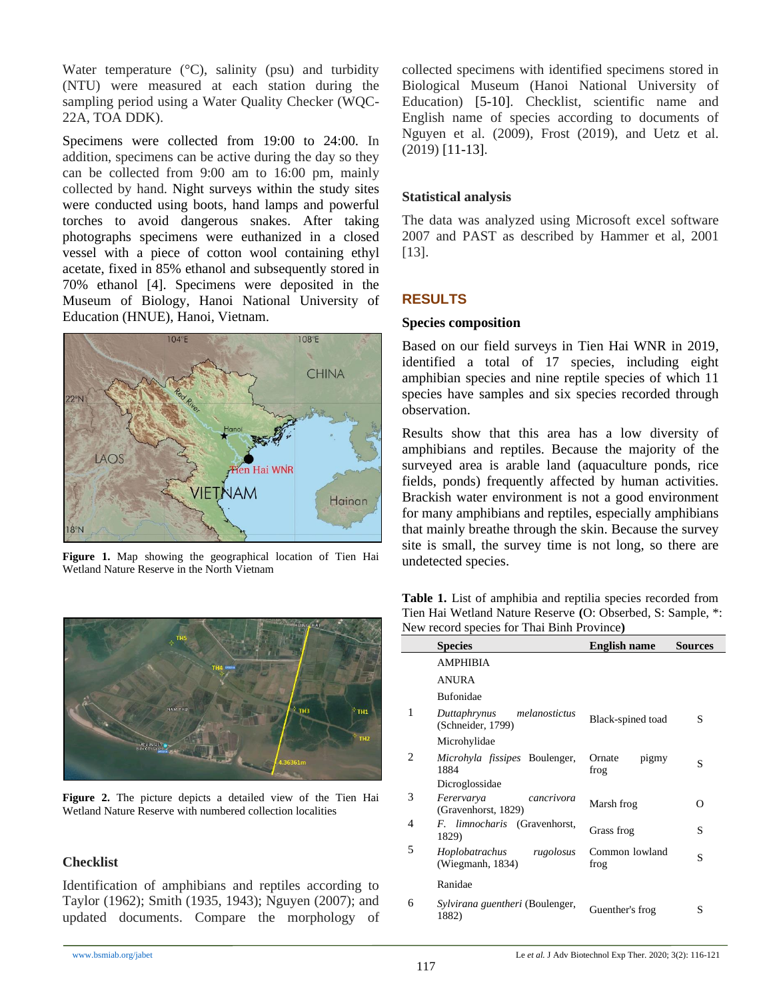Water temperature  $({}^{\circ}C)$ , salinity (psu) and turbidity (NTU) were measured at each station during the sampling period using a Water Quality Checker (WQC-22A, TOA DDK).

Specimens were collected from 19:00 to 24:00. In addition, specimens can be active during the day so they can be collected from 9:00 am to 16:00 pm, mainly collected by hand. Night surveys within the study sites were conducted using boots, hand lamps and powerful torches to avoid dangerous snakes. After taking photographs specimens were euthanized in a closed vessel with a piece of cotton wool containing ethyl acetate, fixed in 85% ethanol and subsequently stored in 70% ethanol [4]. Specimens were deposited in the Museum of Biology, Hanoi National University of Education (HNUE), Hanoi, Vietnam.



**Figure 1.** Map showing the geographical location of Tien Hai Wetland Nature Reserve in the North Vietnam



**Figure 2.** The picture depicts a detailed view of the Tien Hai Wetland Nature Reserve with numbered collection localities

## **Checklist**

Identification of amphibians and reptiles according to Taylor (1962); Smith (1935, 1943); Nguyen (2007); and updated documents. Compare the morphology of collected specimens with identified specimens stored in Biological Museum (Hanoi National University of Education) [5-10]. Checklist, scientific name and English name of species according to documents of Nguyen et al. (2009), Frost (2019), and Uetz et al. (2019) [11-13].

## **Statistical analysis**

The data was analyzed using Microsoft excel software 2007 and PAST as described by Hammer et al, 2001 [13].

## **RESULTS**

#### **Species composition**

Based on our field surveys in Tien Hai WNR in 2019, identified a total of 17 species, including eight amphibian species and nine reptile species of which 11 species have samples and six species recorded through observation.

Results show that this area has a low diversity of amphibians and reptiles. Because the majority of the surveyed area is arable land (aquaculture ponds, rice fields, ponds) frequently affected by human activities. Brackish water environment is not a good environment for many amphibians and reptiles, especially amphibians that mainly breathe through the skin. Because the survey site is small, the survey time is not long, so there are undetected species.

**Table 1.** List of amphibia and reptilia species recorded from Tien Hai Wetland Nature Reserve **(**O: Obserbed, S: Sample, \*: New record species for Thai Binh Province**)**

|                | <b>Species</b>                                     | <b>English name</b>     | <b>Sources</b> |
|----------------|----------------------------------------------------|-------------------------|----------------|
|                | <b>AMPHIBIA</b>                                    |                         |                |
|                | <b>ANURA</b>                                       |                         |                |
|                | <b>Bufonidae</b>                                   |                         |                |
| 1              | Duttaphrynus<br>melanostictus<br>(Schneider, 1799) | Black-spined toad       | S              |
|                | Microhylidae                                       |                         |                |
| $\mathfrak{D}$ | <i>Microhyla fissipes</i> Boulenger,<br>1884       | Ornate<br>pigmy<br>frog | S              |
|                | Dicroglossidae                                     |                         |                |
| 3              | Ferervarya<br>cancrivora<br>(Gravenhorst, 1829)    | Marsh frog              | O              |
| 4              | <i>F. limnocharis</i> (Gravenhorst,<br>1829)       | Grass frog              | S              |
| 5              | Hoplobatrachus<br>rugolosus<br>(Wiegmanh, 1834)    | Common lowland<br>frog  | S              |
|                | Ranidae                                            |                         |                |
| 6              | Sylvirana guentheri (Boulenger,<br>1882)           | Guenther's frog         | S              |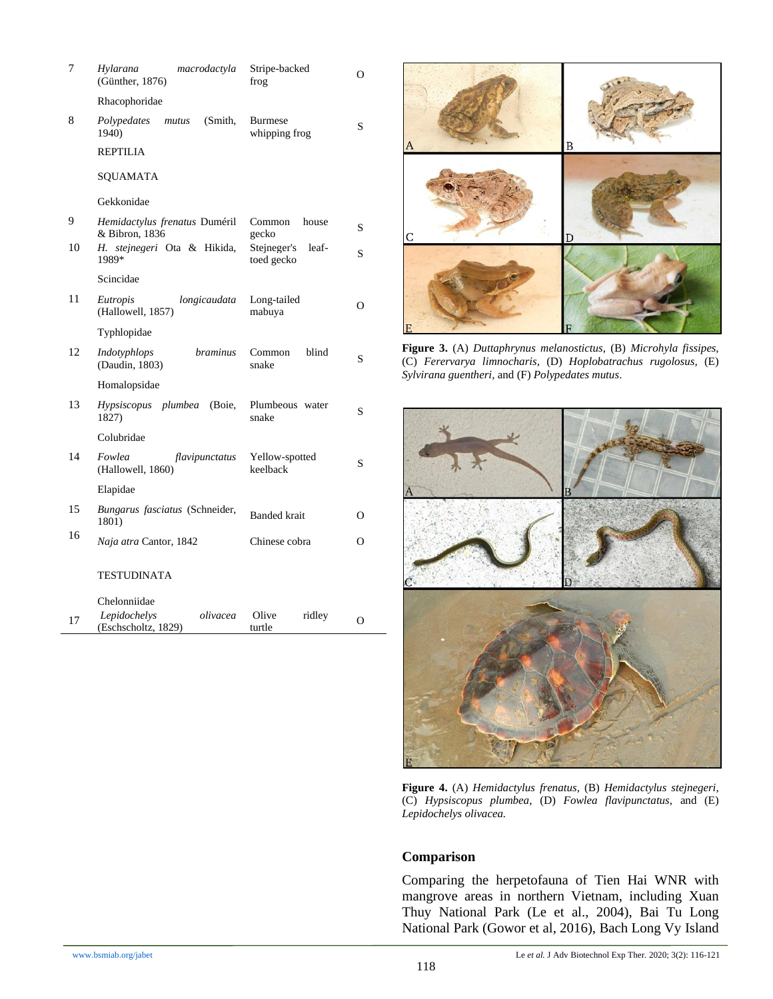| 7  | Hylarana<br>macrodactyla<br>(Günther, 1876)                     | Stripe-backed<br>frog              | O        |
|----|-----------------------------------------------------------------|------------------------------------|----------|
|    | Rhacophoridae                                                   |                                    |          |
| 8  | (Smith,<br>Polypedates<br>mutus<br>1940)                        | <b>Burmese</b><br>whipping frog    | S        |
|    | REPTILIA                                                        |                                    |          |
|    | SQUAMATA                                                        |                                    |          |
|    | Gekkonidae                                                      |                                    |          |
| 9  | Hemidactylus frenatus Duméril<br>& Bibron, 1836                 | Common<br>house<br>gecko           | S        |
| 10 | <i>stejnegeri</i> Ota & Hikida,<br>Н.<br>1989*                  | Stejneger's<br>leaf-<br>toed gecko | S        |
|    | Scincidae                                                       |                                    |          |
| 11 | longicaudata<br>Eutropis<br>(Hallowell, 1857)                   | Long-tailed<br>mabuya              | $\Omega$ |
|    | Typhlopidae                                                     |                                    |          |
| 12 | <i>braminus</i><br>Indotyphlops<br>(Daudin, 1803)               | blind<br>Common<br>snake           | S        |
|    | Homalopsidae                                                    |                                    |          |
| 13 | Hypsiscopus plumbea<br>(Boie,<br>1827)                          | Plumbeous water<br>snake           | S        |
|    | Colubridae                                                      |                                    |          |
| 14 | Fowlea<br>flavipunctatus<br>(Hallowell, 1860)                   | Yellow-spotted<br>keelback         | S        |
|    | Elapidae                                                        |                                    |          |
| 15 | Bungarus fasciatus (Schneider,<br>1801)                         | <b>Banded</b> krait                | О        |
| 16 | Naja atra Cantor, 1842                                          | Chinese cobra                      | $\Omega$ |
|    | TESTUDINATA                                                     |                                    |          |
| 17 | Chelonniidae<br>Lepidochelys<br>olivacea<br>(Eschscholtz, 1829) | Olive<br>ridley<br>turtle          | Ω        |



**Figure 3.** (A) *Duttaphrynus melanostictus*, (B) *Microhyla fissipes,*  (C) *Ferervarya limnocharis,* (D) *Hoplobatrachus rugolosus,* (E) *Sylvirana guentheri*, and (F) *Polypedates mutus*.



**Figure 4.** (A) *Hemidactylus frenatus,* (B) *Hemidactylus stejnegeri*, (C) *Hypsiscopus plumbea*, (D) *Fowlea flavipunctatus*, and (E) *Lepidochelys olivacea.*

#### **Comparison**

Comparing the herpetofauna of Tien Hai WNR with mangrove areas in northern Vietnam, including Xuan Thuy National Park (Le et al., 2004), Bai Tu Long National Park (Gowor et al, 2016), Bach Long Vy Island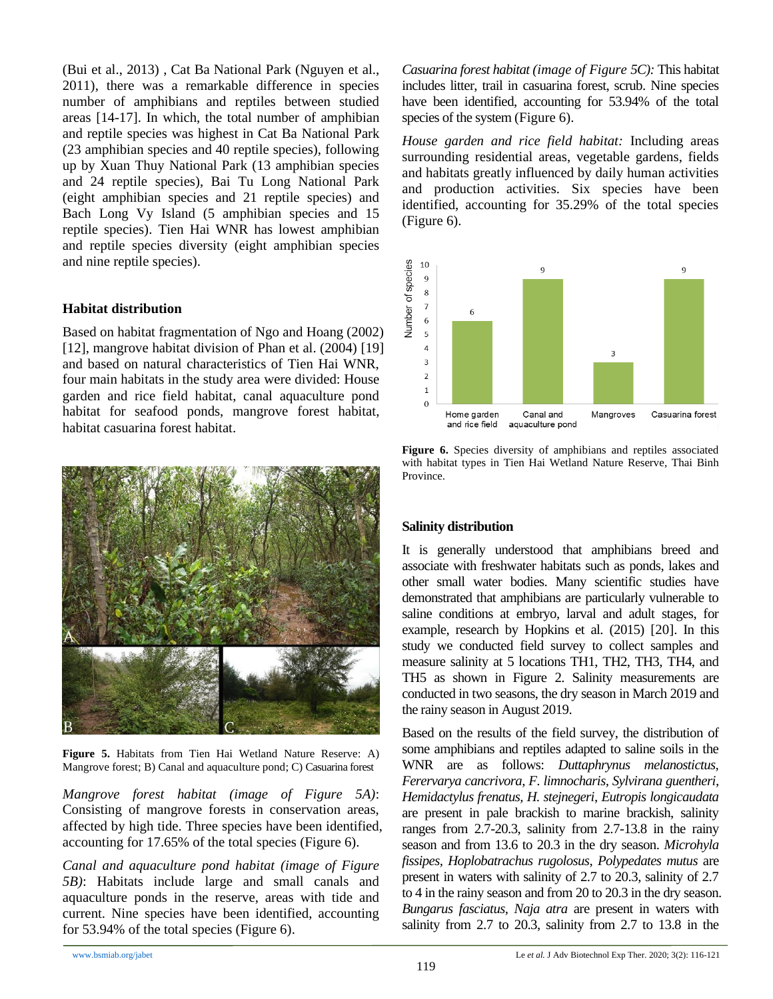(Bui et al., 2013) , Cat Ba National Park (Nguyen et al., 2011), there was a remarkable difference in species number of amphibians and reptiles between studied areas [14-17]. In which, the total number of amphibian and reptile species was highest in Cat Ba National Park (23 amphibian species and 40 reptile species), following up by Xuan Thuy National Park (13 amphibian species and 24 reptile species), Bai Tu Long National Park (eight amphibian species and 21 reptile species) and Bach Long Vy Island (5 amphibian species and 15 reptile species). Tien Hai WNR has lowest amphibian and reptile species diversity (eight amphibian species and nine reptile species).

## **Habitat distribution**

Based on habitat fragmentation of Ngo and Hoang (2002) [12], mangrove habitat division of Phan et al. (2004) [19] and based on natural characteristics of Tien Hai WNR, four main habitats in the study area were divided: House garden and rice field habitat, canal aquaculture pond habitat for seafood ponds, mangrove forest habitat, habitat casuarina forest habitat.



**Figure 5.** Habitats from Tien Hai Wetland Nature Reserve: A) Mangrove forest; B) Canal and aquaculture pond; C) Casuarina forest

*Mangrove forest habitat (image of Figure 5A)*: Consisting of mangrove forests in conservation areas, affected by high tide. Three species have been identified, accounting for 17.65% of the total species (Figure 6).

*Canal and aquaculture pond habitat (image of Figure 5B)*: Habitats include large and small canals and aquaculture ponds in the reserve, areas with tide and current. Nine species have been identified, accounting for 53.94% of the total species (Figure 6).

*Casuarina forest habitat (image of Figure 5C):* This habitat includes litter, trail in casuarina forest, scrub. Nine species have been identified, accounting for 53.94% of the total species of the system (Figure 6).

*House garden and rice field habitat:* Including areas surrounding residential areas, vegetable gardens, fields and habitats greatly influenced by daily human activities and production activities. Six species have been identified, accounting for 35.29% of the total species (Figure 6).



Figure 6. Species diversity of amphibians and reptiles associated with habitat types in Tien Hai Wetland Nature Reserve, Thai Binh Province.

## **Salinity distribution**

It is generally understood that amphibians breed and associate with freshwater habitats such as ponds, lakes and other small water bodies. Many scientific studies have demonstrated that amphibians are particularly vulnerable to saline conditions at embryo, larval and adult stages, for example, research by Hopkins et al. (2015) [20]. In this study we conducted field survey to collect samples and measure salinity at 5 locations TH1, TH2, TH3, TH4, and TH5 as shown in Figure 2. Salinity measurements are conducted in two seasons, the dry season in March 2019 and the rainy season in August 2019.

Based on the results of the field survey, the distribution of some amphibians and reptiles adapted to saline soils in the WNR are as follows: *Duttaphrynus melanostictus, Ferervarya cancrivora, F. limnocharis, Sylvirana guentheri*, *Hemidactylus frenatus, H. stejnegeri*, *Eutropis longicaudata* are present in pale brackish to marine brackish, salinity ranges from 2.7-20.3, salinity from 2.7-13.8 in the rainy season and from 13.6 to 20.3 in the dry season*. Microhyla fissipes, Hoplobatrachus rugolosus*, *Polypedates mutus* are present in waters with salinity of 2.7 to 20.3, salinity of 2.7 to 4 in the rainy season and from 20 to 20.3 in the dry season. *Bungarus fasciatus, Naja atra* are present in waters with salinity from 2.7 to 20.3, salinity from 2.7 to 13.8 in the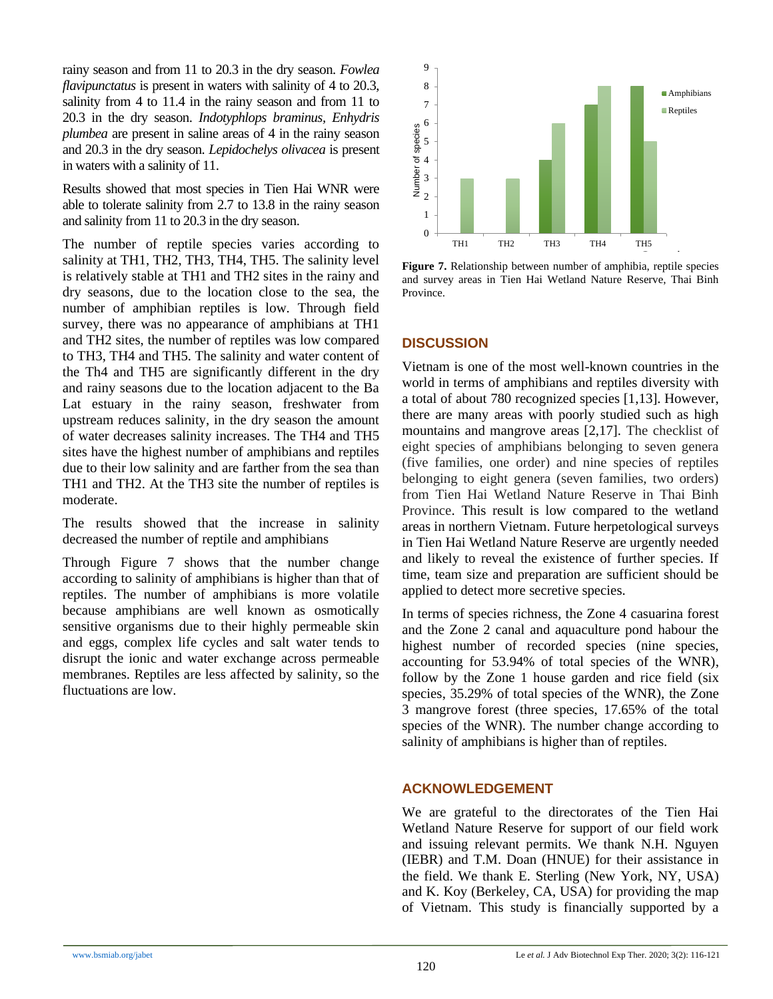rainy season and from 11 to 20.3 in the dry season. *Fowlea flavipunctatus* is present in waters with salinity of 4 to 20.3, salinity from 4 to 11.4 in the rainy season and from 11 to 20.3 in the dry season. *Indotyphlops braminus, Enhydris plumbea* are present in saline areas of 4 in the rainy season and 20.3 in the dry season. *Lepidochelys olivacea* is present in waters with a salinity of 11.

Results showed that most species in Tien Hai WNR were able to tolerate salinity from 2.7 to 13.8 in the rainy season and salinity from 11 to 20.3 in the dry season.

The number of reptile species varies according to salinity at TH1, TH2, TH3, TH4, TH5. The salinity level is relatively stable at TH1 and TH2 sites in the rainy and dry seasons, due to the location close to the sea, the number of amphibian reptiles is low. Through field survey, there was no appearance of amphibians at TH1 and TH2 sites, the number of reptiles was low compared to TH3, TH4 and TH5. The salinity and water content of the Th4 and TH5 are significantly different in the dry and rainy seasons due to the location adjacent to the Ba Lat estuary in the rainy season, freshwater from upstream reduces salinity, in the dry season the amount of water decreases salinity increases. The TH4 and TH5 sites have the highest number of amphibians and reptiles due to their low salinity and are farther from the sea than TH1 and TH2. At the TH3 site the number of reptiles is moderate.

The results showed that the increase in salinity decreased the number of reptile and amphibians

Through Figure 7 shows that the number change according to salinity of amphibians is higher than that of reptiles. The number of amphibians is more volatile because amphibians are well known as osmotically sensitive organisms due to their highly permeable skin and eggs, complex life cycles and salt water tends to disrupt the ionic and water exchange across permeable membranes. Reptiles are less affected by salinity, so the fluctuations are low.



**Figure 7.** Relationship between number of amphibia, reptile species and survey areas in Tien Hai Wetland Nature Reserve, Thai Binh Province.

## **DISCUSSION**

Vietnam is one of the most well-known countries in the world in terms of amphibians and reptiles diversity with a total of about 780 recognized species [1,13]. However, there are many areas with poorly studied such as high mountains and mangrove areas [2,17]. The checklist of eight species of amphibians belonging to seven genera (five families, one order) and nine species of reptiles belonging to eight genera (seven families, two orders) from Tien Hai Wetland Nature Reserve in Thai Binh Province. This result is low compared to the wetland areas in northern Vietnam. Future herpetological surveys in Tien Hai Wetland Nature Reserve are urgently needed and likely to reveal the existence of further species. If time, team size and preparation are sufficient should be applied to detect more secretive species.

In terms of species richness, the Zone 4 casuarina forest and the Zone 2 canal and aquaculture pond habour the highest number of recorded species (nine species, accounting for 53.94% of total species of the WNR), follow by the Zone 1 house garden and rice field (six species, 35.29% of total species of the WNR), the Zone 3 mangrove forest (three species, 17.65% of the total species of the WNR). The number change according to salinity of amphibians is higher than of reptiles.

## **ACKNOWLEDGEMENT**

We are grateful to the directorates of the Tien Hai Wetland Nature Reserve for support of our field work and issuing relevant permits. We thank N.H. Nguyen (IEBR) and T.M. Doan (HNUE) for their assistance in the field. We thank E. Sterling (New York, NY, USA) and K. Koy (Berkeley, CA, USA) for providing the map of Vietnam. This study is financially supported by a